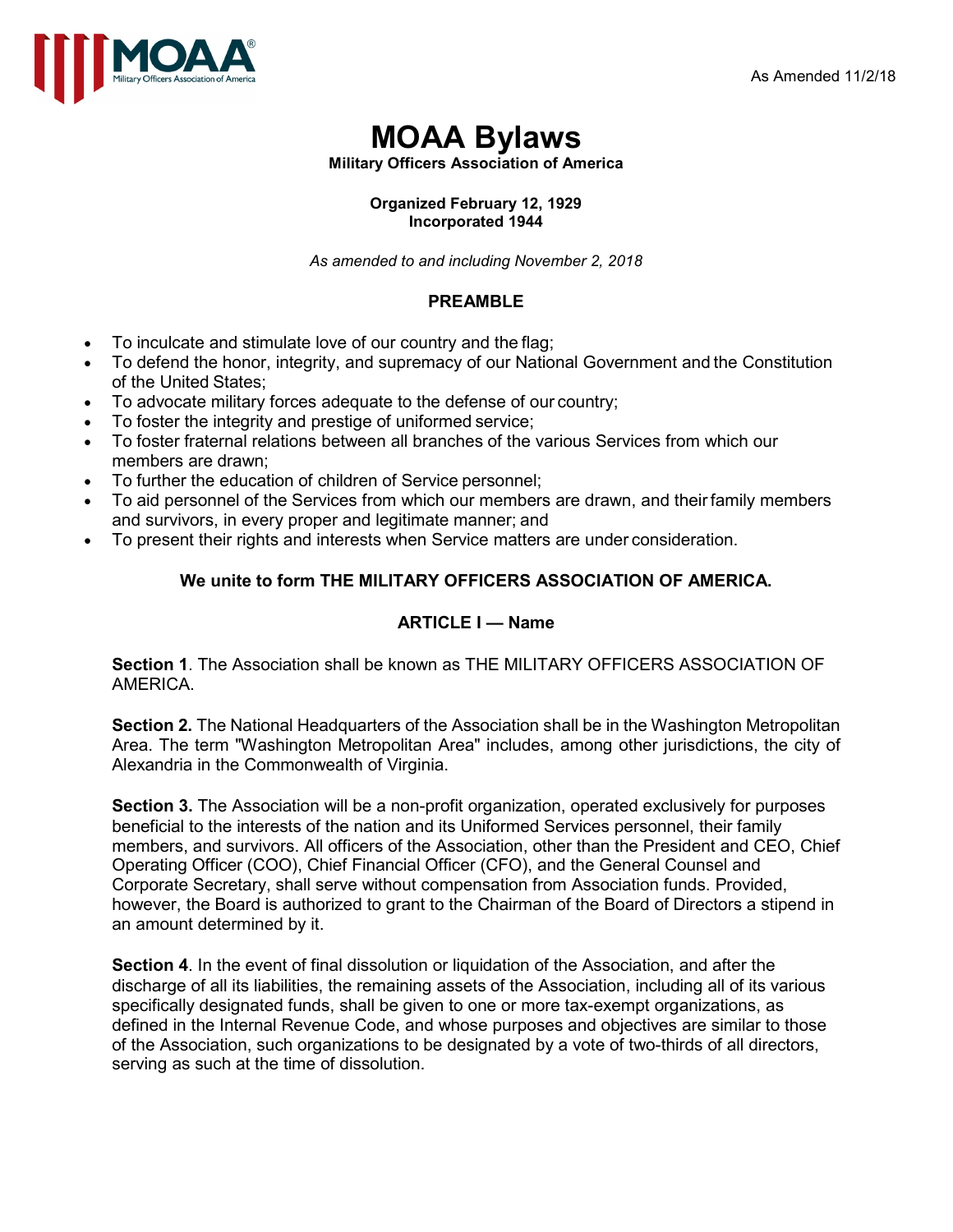

# **MOAA Bylaws**

**Military Officers Association of America** 

#### **Organized February 12, 1929 Incorporated 1944**

*As amended to and including November 2, 2018*

# **PREAMBLE**

- To inculcate and stimulate love of our country and the flag;
- To defend the honor, integrity, and supremacy of our National Government and the Constitution of the United States;
- To advocate military forces adequate to the defense of our country;
- To foster the integrity and prestige of uniformed service;
- To foster fraternal relations between all branches of the various Services from which our members are drawn;
- To further the education of children of Service personnel;
- To aid personnel of the Services from which our members are drawn, and theirfamily members and survivors, in every proper and legitimate manner; and
- To present their rights and interests when Service matters are under consideration.

# **We unite to form THE MILITARY OFFICERS ASSOCIATION OF AMERICA.**

# **ARTICLE I — Name**

**Section 1**. The Association shall be known as THE MILITARY OFFICERS ASSOCIATION OF AMERICA.

**Section 2.** The National Headquarters of the Association shall be in the Washington Metropolitan Area. The term "Washington Metropolitan Area" includes, among other jurisdictions, the city of Alexandria in the Commonwealth of Virginia.

**Section 3.** The Association will be a non-profit organization, operated exclusively for purposes beneficial to the interests of the nation and its Uniformed Services personnel, their family members, and survivors. All officers of the Association, other than the President and CEO, Chief Operating Officer (COO), Chief Financial Officer (CFO), and the General Counsel and Corporate Secretary, shall serve without compensation from Association funds. Provided, however, the Board is authorized to grant to the Chairman of the Board of Directors a stipend in an amount determined by it.

**Section 4**. In the event of final dissolution or liquidation of the Association, and after the discharge of all its liabilities, the remaining assets of the Association, including all of its various specifically designated funds, shall be given to one or more tax-exempt organizations, as defined in the Internal Revenue Code, and whose purposes and objectives are similar to those of the Association, such organizations to be designated by a vote of two-thirds of all directors, serving as such at the time of dissolution.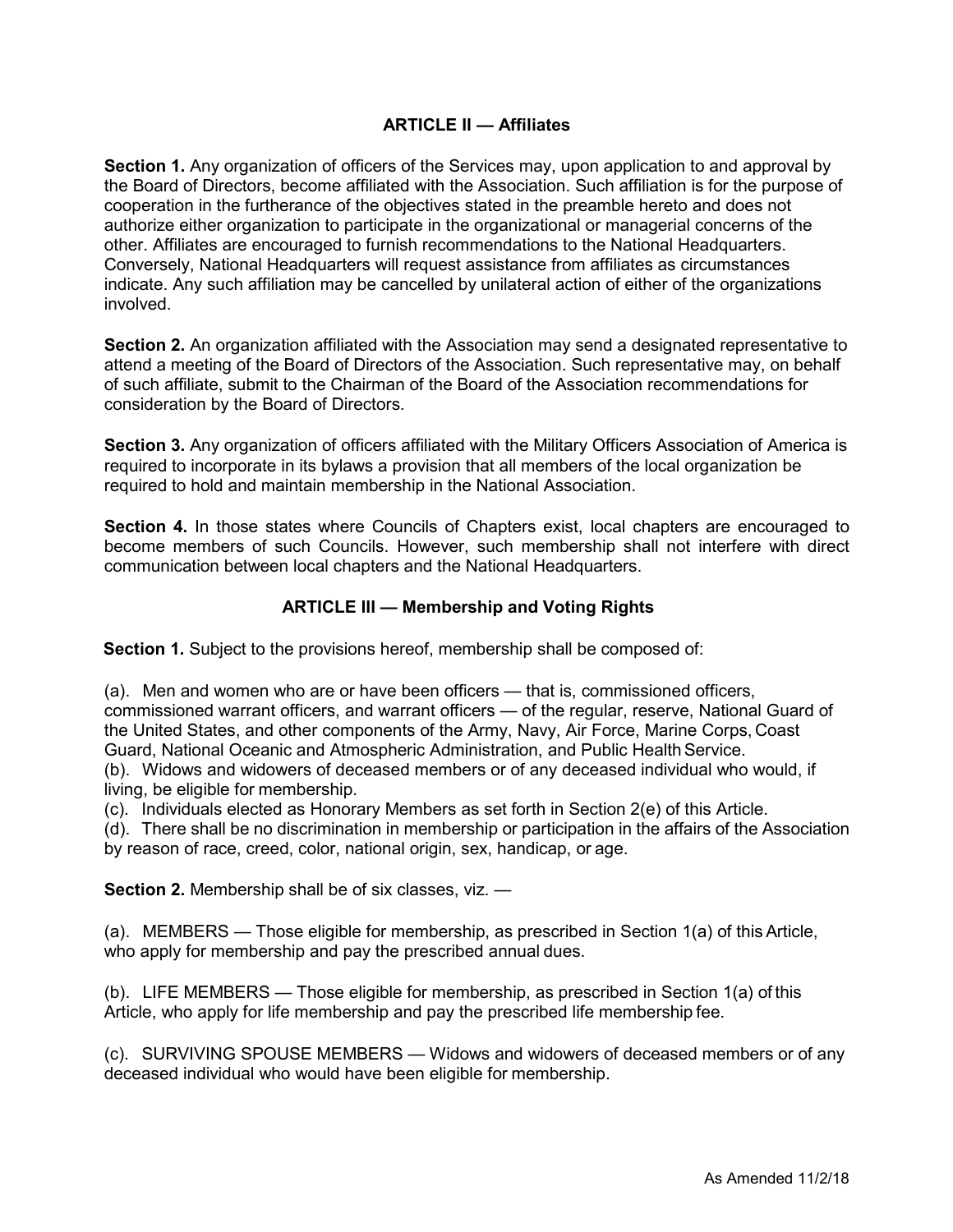#### **ARTICLE II — Affiliates**

**Section 1.** Any organization of officers of the Services may, upon application to and approval by the Board of Directors, become affiliated with the Association. Such affiliation is for the purpose of cooperation in the furtherance of the objectives stated in the preamble hereto and does not authorize either organization to participate in the organizational or managerial concerns of the other. Affiliates are encouraged to furnish recommendations to the National Headquarters. Conversely, National Headquarters will request assistance from affiliates as circumstances indicate. Any such affiliation may be cancelled by unilateral action of either of the organizations involved.

**Section 2.** An organization affiliated with the Association may send a designated representative to attend a meeting of the Board of Directors of the Association. Such representative may, on behalf of such affiliate, submit to the Chairman of the Board of the Association recommendations for consideration by the Board of Directors.

**Section 3.** Any organization of officers affiliated with the Military Officers Association of America is required to incorporate in its bylaws a provision that all members of the local organization be required to hold and maintain membership in the National Association.

**Section 4.** In those states where Councils of Chapters exist, local chapters are encouraged to become members of such Councils. However, such membership shall not interfere with direct communication between local chapters and the National Headquarters.

## **ARTICLE III — Membership and Voting Rights**

**Section 1.** Subject to the provisions hereof, membership shall be composed of:

(a). Men and women who are or have been officers — that is, commissioned officers, commissioned warrant officers, and warrant officers — of the regular, reserve, National Guard of the United States, and other components of the Army, Navy, Air Force, Marine Corps, Coast Guard, National Oceanic and Atmospheric Administration, and Public Health Service.

(b). Widows and widowers of deceased members or of any deceased individual who would, if living, be eligible for membership.

(c). Individuals elected as Honorary Members as set forth in Section 2(e) of this Article.

(d). There shall be no discrimination in membership or participation in the affairs of the Association by reason of race, creed, color, national origin, sex, handicap, or age.

**Section 2.** Membership shall be of six classes, viz. —

(a). MEMBERS — Those eligible for membership, as prescribed in Section 1(a) of this Article, who apply for membership and pay the prescribed annual dues.

(b). LIFE MEMBERS — Those eligible for membership, as prescribed in Section 1(a) of this Article, who apply for life membership and pay the prescribed life membership fee.

(c). SURVIVING SPOUSE MEMBERS — Widows and widowers of deceased members or of any deceased individual who would have been eligible for membership.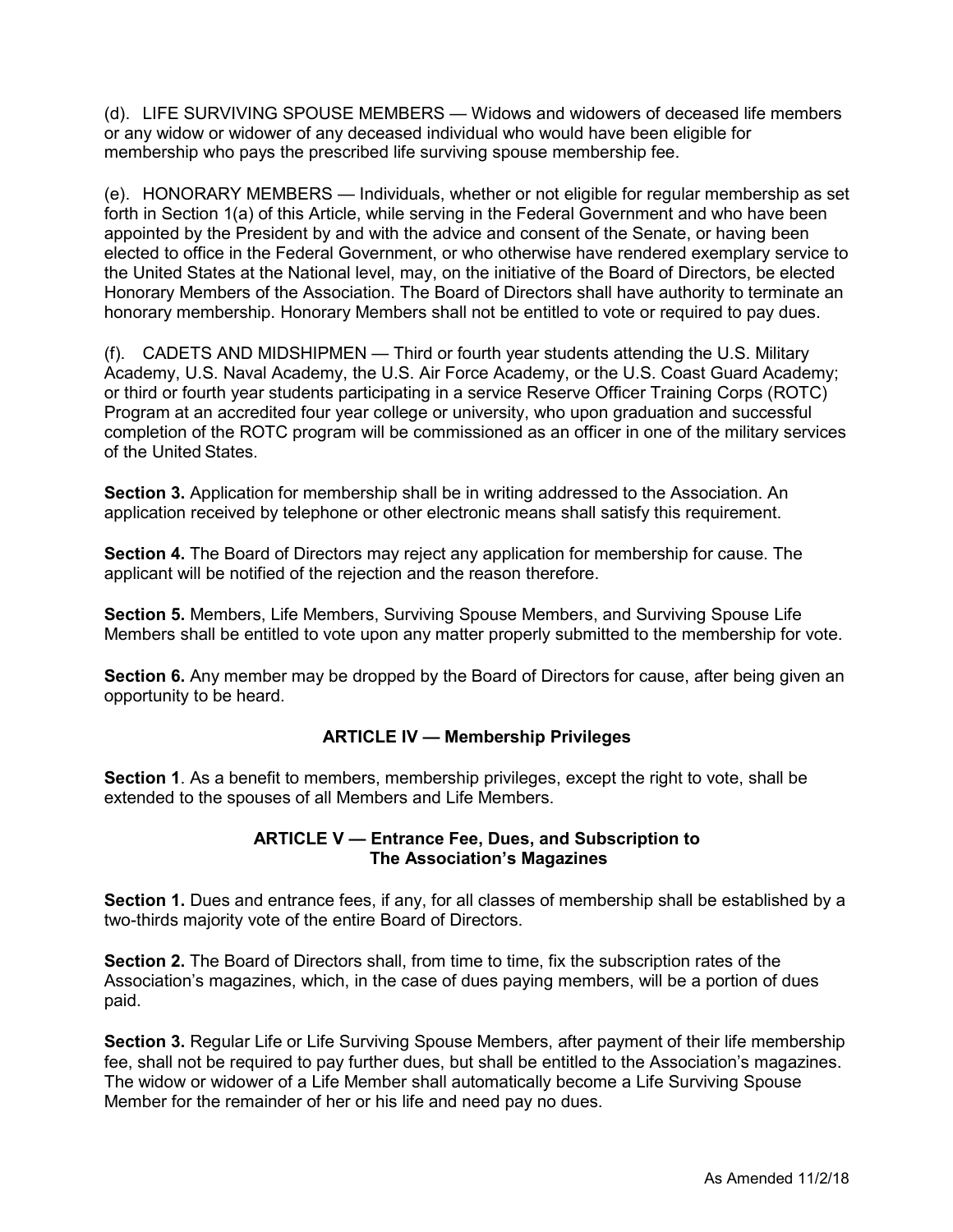(d). LIFE SURVIVING SPOUSE MEMBERS — Widows and widowers of deceased life members or any widow or widower of any deceased individual who would have been eligible for membership who pays the prescribed life surviving spouse membership fee.

(e). HONORARY MEMBERS — Individuals, whether or not eligible for regular membership as set forth in Section 1(a) of this Article, while serving in the Federal Government and who have been appointed by the President by and with the advice and consent of the Senate, or having been elected to office in the Federal Government, or who otherwise have rendered exemplary service to the United States at the National level, may, on the initiative of the Board of Directors, be elected Honorary Members of the Association. The Board of Directors shall have authority to terminate an honorary membership. Honorary Members shall not be entitled to vote or required to pay dues.

(f). CADETS AND MIDSHIPMEN — Third or fourth year students attending the U.S. Military Academy, U.S. Naval Academy, the U.S. Air Force Academy, or the U.S. Coast Guard Academy; or third or fourth year students participating in a service Reserve Officer Training Corps (ROTC) Program at an accredited four year college or university, who upon graduation and successful completion of the ROTC program will be commissioned as an officer in one of the military services of the United States.

**Section 3.** Application for membership shall be in writing addressed to the Association. An application received by telephone or other electronic means shall satisfy this requirement.

**Section 4.** The Board of Directors may reject any application for membership for cause. The applicant will be notified of the rejection and the reason therefore.

**Section 5.** Members, Life Members, Surviving Spouse Members, and Surviving Spouse Life Members shall be entitled to vote upon any matter properly submitted to the membership for vote.

**Section 6.** Any member may be dropped by the Board of Directors for cause, after being given an opportunity to be heard.

#### **ARTICLE IV — Membership Privileges**

**Section 1**. As a benefit to members, membership privileges, except the right to vote, shall be extended to the spouses of all Members and Life Members.

#### **ARTICLE V — Entrance Fee, Dues, and Subscription to The Association's Magazines**

**Section 1.** Dues and entrance fees, if any, for all classes of membership shall be established by a two-thirds majority vote of the entire Board of Directors.

**Section 2.** The Board of Directors shall, from time to time, fix the subscription rates of the Association's magazines, which, in the case of dues paying members, will be a portion of dues paid.

**Section 3.** Regular Life or Life Surviving Spouse Members, after payment of their life membership fee, shall not be required to pay further dues, but shall be entitled to the Association's magazines. The widow or widower of a Life Member shall automatically become a Life Surviving Spouse Member for the remainder of her or his life and need pay no dues.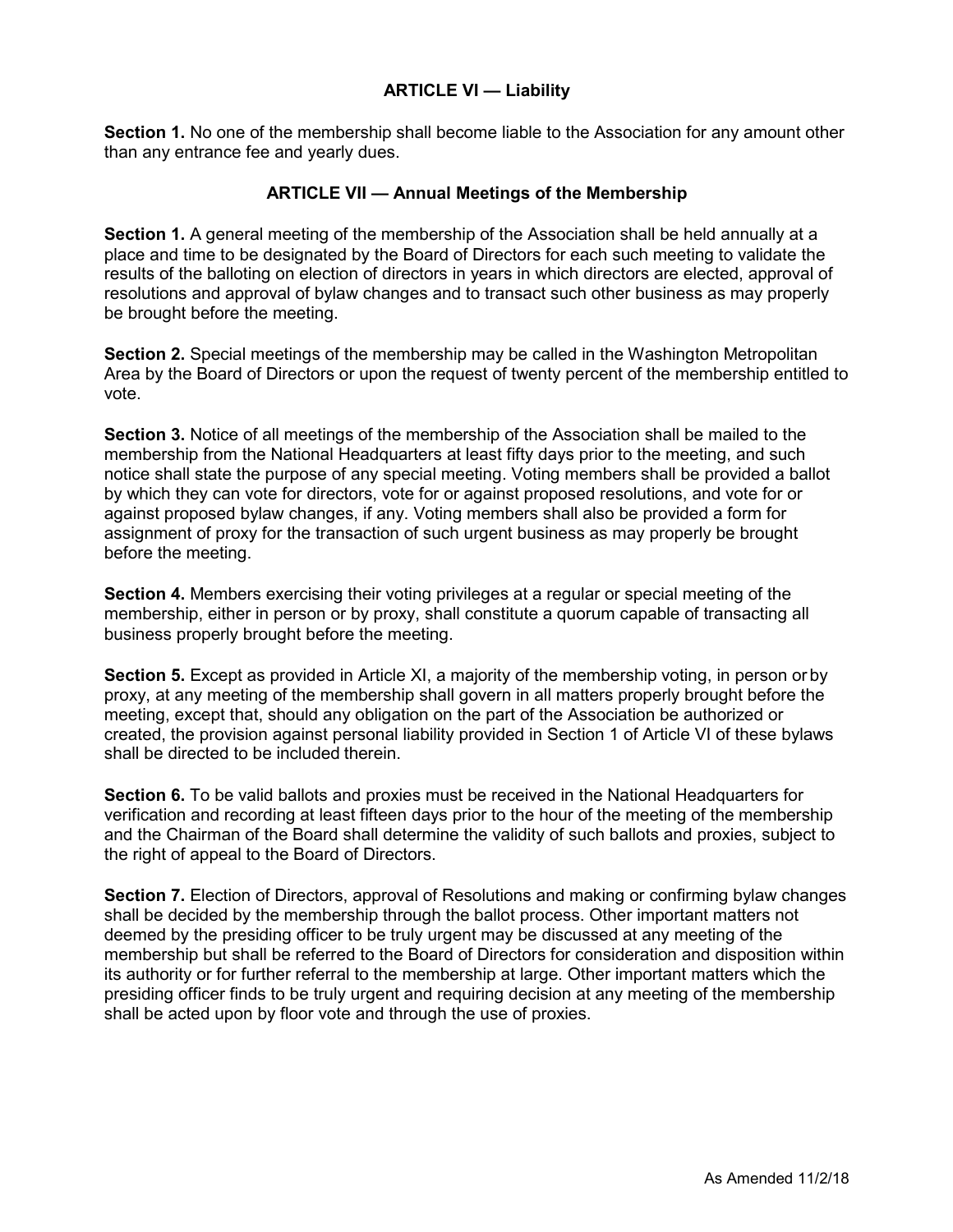### **ARTICLE VI — Liability**

**Section 1.** No one of the membership shall become liable to the Association for any amount other than any entrance fee and yearly dues.

## **ARTICLE VII — Annual Meetings of the Membership**

**Section 1.** A general meeting of the membership of the Association shall be held annually at a place and time to be designated by the Board of Directors for each such meeting to validate the results of the balloting on election of directors in years in which directors are elected, approval of resolutions and approval of bylaw changes and to transact such other business as may properly be brought before the meeting.

**Section 2.** Special meetings of the membership may be called in the Washington Metropolitan Area by the Board of Directors or upon the request of twenty percent of the membership entitled to vote.

**Section 3.** Notice of all meetings of the membership of the Association shall be mailed to the membership from the National Headquarters at least fifty days prior to the meeting, and such notice shall state the purpose of any special meeting. Voting members shall be provided a ballot by which they can vote for directors, vote for or against proposed resolutions, and vote for or against proposed bylaw changes, if any. Voting members shall also be provided a form for assignment of proxy for the transaction of such urgent business as may properly be brought before the meeting.

**Section 4.** Members exercising their voting privileges at a regular or special meeting of the membership, either in person or by proxy, shall constitute a quorum capable of transacting all business properly brought before the meeting.

**Section 5.** Except as provided in Article XI, a majority of the membership voting, in person or by proxy, at any meeting of the membership shall govern in all matters properly brought before the meeting, except that, should any obligation on the part of the Association be authorized or created, the provision against personal liability provided in Section 1 of Article VI of these bylaws shall be directed to be included therein.

**Section 6.** To be valid ballots and proxies must be received in the National Headquarters for verification and recording at least fifteen days prior to the hour of the meeting of the membership and the Chairman of the Board shall determine the validity of such ballots and proxies, subject to the right of appeal to the Board of Directors.

**Section 7.** Election of Directors, approval of Resolutions and making or confirming bylaw changes shall be decided by the membership through the ballot process. Other important matters not deemed by the presiding officer to be truly urgent may be discussed at any meeting of the membership but shall be referred to the Board of Directors for consideration and disposition within its authority or for further referral to the membership at large. Other important matters which the presiding officer finds to be truly urgent and requiring decision at any meeting of the membership shall be acted upon by floor vote and through the use of proxies.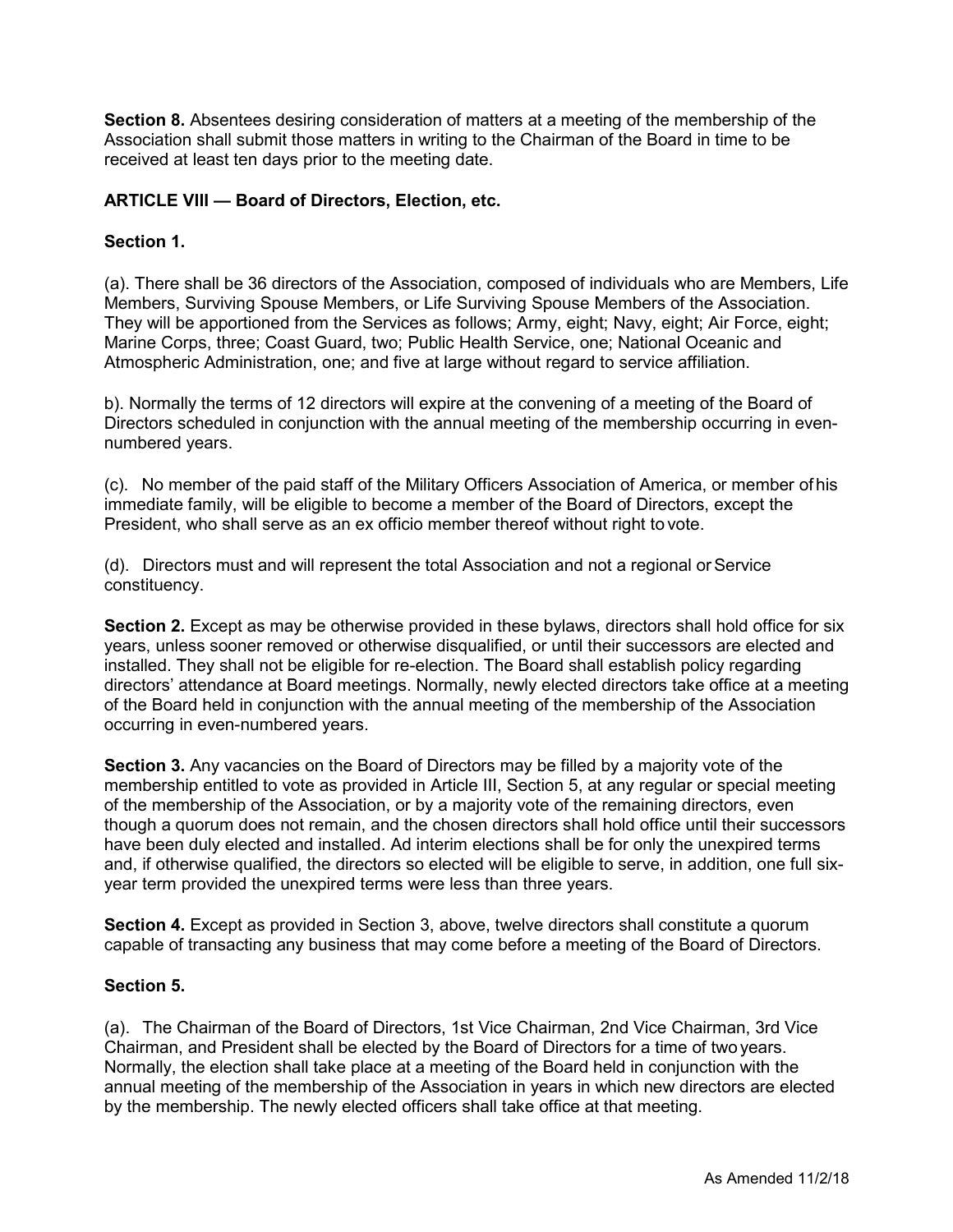**Section 8.** Absentees desiring consideration of matters at a meeting of the membership of the Association shall submit those matters in writing to the Chairman of the Board in time to be received at least ten days prior to the meeting date.

## **ARTICLE VIII — Board of Directors, Election, etc.**

## **Section 1.**

(a). There shall be 36 directors of the Association, composed of individuals who are Members, Life Members, Surviving Spouse Members, or Life Surviving Spouse Members of the Association. They will be apportioned from the Services as follows; Army, eight; Navy, eight; Air Force, eight; Marine Corps, three; Coast Guard, two; Public Health Service, one; National Oceanic and Atmospheric Administration, one; and five at large without regard to service affiliation.

b). Normally the terms of 12 directors will expire at the convening of a meeting of the Board of Directors scheduled in conjunction with the annual meeting of the membership occurring in evennumbered years.

(c). No member of the paid staff of the Military Officers Association of America, or member of his immediate family, will be eligible to become a member of the Board of Directors, except the President, who shall serve as an ex officio member thereof without right to vote.

(d). Directors must and will represent the total Association and not a regional or Service constituency.

**Section 2.** Except as may be otherwise provided in these bylaws, directors shall hold office for six years, unless sooner removed or otherwise disqualified, or until their successors are elected and installed. They shall not be eligible for re-election. The Board shall establish policy regarding directors' attendance at Board meetings. Normally, newly elected directors take office at a meeting of the Board held in conjunction with the annual meeting of the membership of the Association occurring in even-numbered years.

**Section 3.** Any vacancies on the Board of Directors may be filled by a majority vote of the membership entitled to vote as provided in Article III, Section 5, at any regular or special meeting of the membership of the Association, or by a majority vote of the remaining directors, even though a quorum does not remain, and the chosen directors shall hold office until their successors have been duly elected and installed. Ad interim elections shall be for only the unexpired terms and, if otherwise qualified, the directors so elected will be eligible to serve, in addition, one full sixyear term provided the unexpired terms were less than three years.

**Section 4.** Except as provided in Section 3, above, twelve directors shall constitute a quorum capable of transacting any business that may come before a meeting of the Board of Directors.

#### **Section 5.**

(a). The Chairman of the Board of Directors, 1st Vice Chairman, 2nd Vice Chairman, 3rd Vice Chairman, and President shall be elected by the Board of Directors for a time of two years. Normally, the election shall take place at a meeting of the Board held in conjunction with the annual meeting of the membership of the Association in years in which new directors are elected by the membership. The newly elected officers shall take office at that meeting.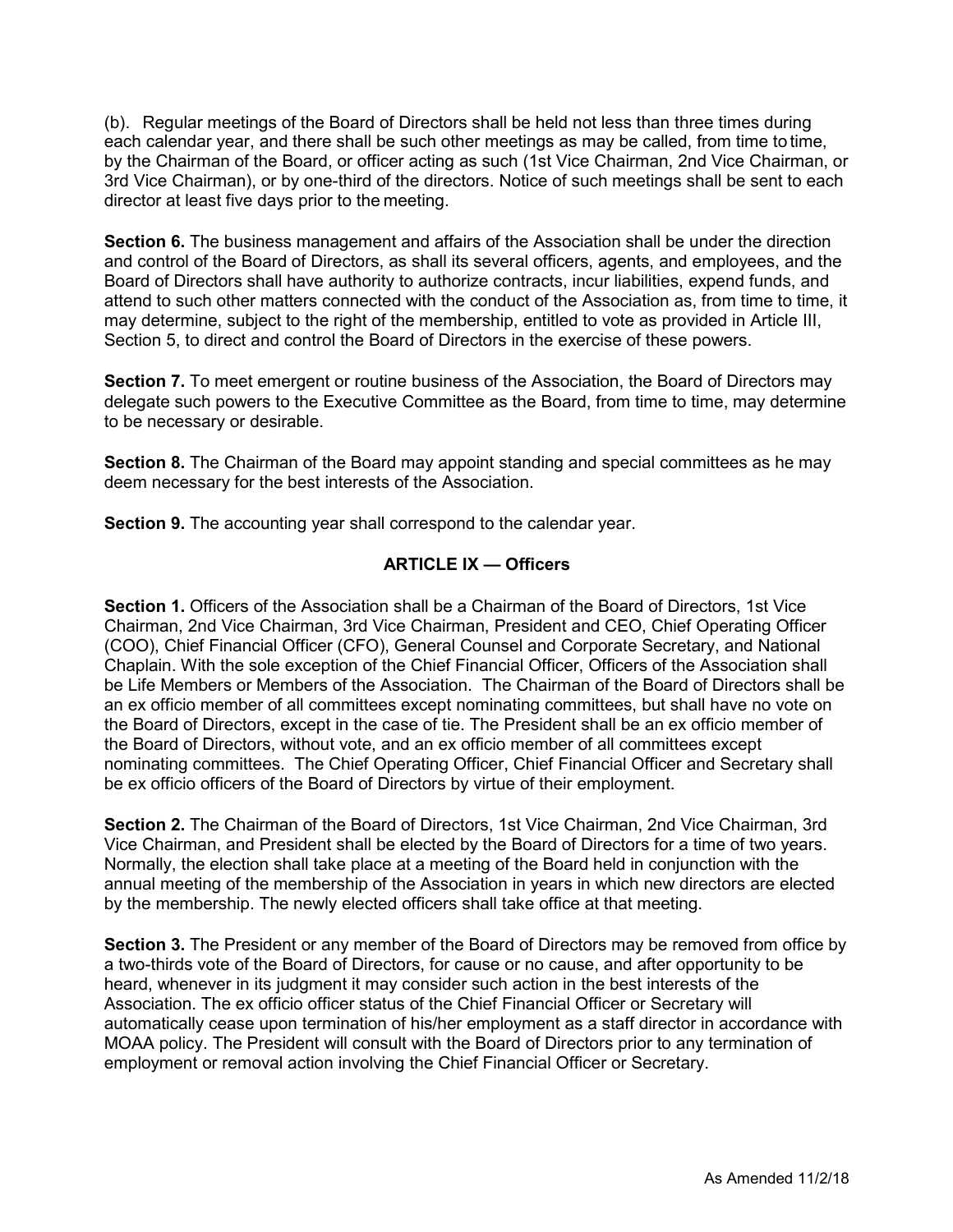(b). Regular meetings of the Board of Directors shall be held not less than three times during each calendar year, and there shall be such other meetings as may be called, from time to time, by the Chairman of the Board, or officer acting as such (1st Vice Chairman, 2nd Vice Chairman, or 3rd Vice Chairman), or by one-third of the directors. Notice of such meetings shall be sent to each director at least five days prior to the meeting.

**Section 6.** The business management and affairs of the Association shall be under the direction and control of the Board of Directors, as shall its several officers, agents, and employees, and the Board of Directors shall have authority to authorize contracts, incur liabilities, expend funds, and attend to such other matters connected with the conduct of the Association as, from time to time, it may determine, subject to the right of the membership, entitled to vote as provided in Article III, Section 5, to direct and control the Board of Directors in the exercise of these powers.

**Section 7.** To meet emergent or routine business of the Association, the Board of Directors may delegate such powers to the Executive Committee as the Board, from time to time, may determine to be necessary or desirable.

**Section 8.** The Chairman of the Board may appoint standing and special committees as he may deem necessary for the best interests of the Association.

**Section 9.** The accounting year shall correspond to the calendar year.

## **ARTICLE IX — Officers**

Section 1. Officers of the Association shall be a Chairman of the Board of Directors, 1st Vice Chairman, 2nd Vice Chairman, 3rd Vice Chairman, President and CEO, Chief Operating Officer (COO), Chief Financial Officer (CFO), General Counsel and Corporate Secretary, and National Chaplain. With the sole exception of the Chief Financial Officer, Officers of the Association shall be Life Members or Members of the Association. The Chairman of the Board of Directors shall be an ex officio member of all committees except nominating committees, but shall have no vote on the Board of Directors, except in the case of tie. The President shall be an ex officio member of the Board of Directors, without vote, and an ex officio member of all committees except nominating committees. The Chief Operating Officer, Chief Financial Officer and Secretary shall be ex officio officers of the Board of Directors by virtue of their employment.

**Section 2.** The Chairman of the Board of Directors, 1st Vice Chairman, 2nd Vice Chairman, 3rd Vice Chairman, and President shall be elected by the Board of Directors for a time of two years. Normally, the election shall take place at a meeting of the Board held in conjunction with the annual meeting of the membership of the Association in years in which new directors are elected by the membership. The newly elected officers shall take office at that meeting.

**Section 3.** The President or any member of the Board of Directors may be removed from office by a two-thirds vote of the Board of Directors, for cause or no cause, and after opportunity to be heard, whenever in its judgment it may consider such action in the best interests of the Association. The ex officio officer status of the Chief Financial Officer or Secretary will automatically cease upon termination of his/her employment as a staff director in accordance with MOAA policy. The President will consult with the Board of Directors prior to any termination of employment or removal action involving the Chief Financial Officer or Secretary.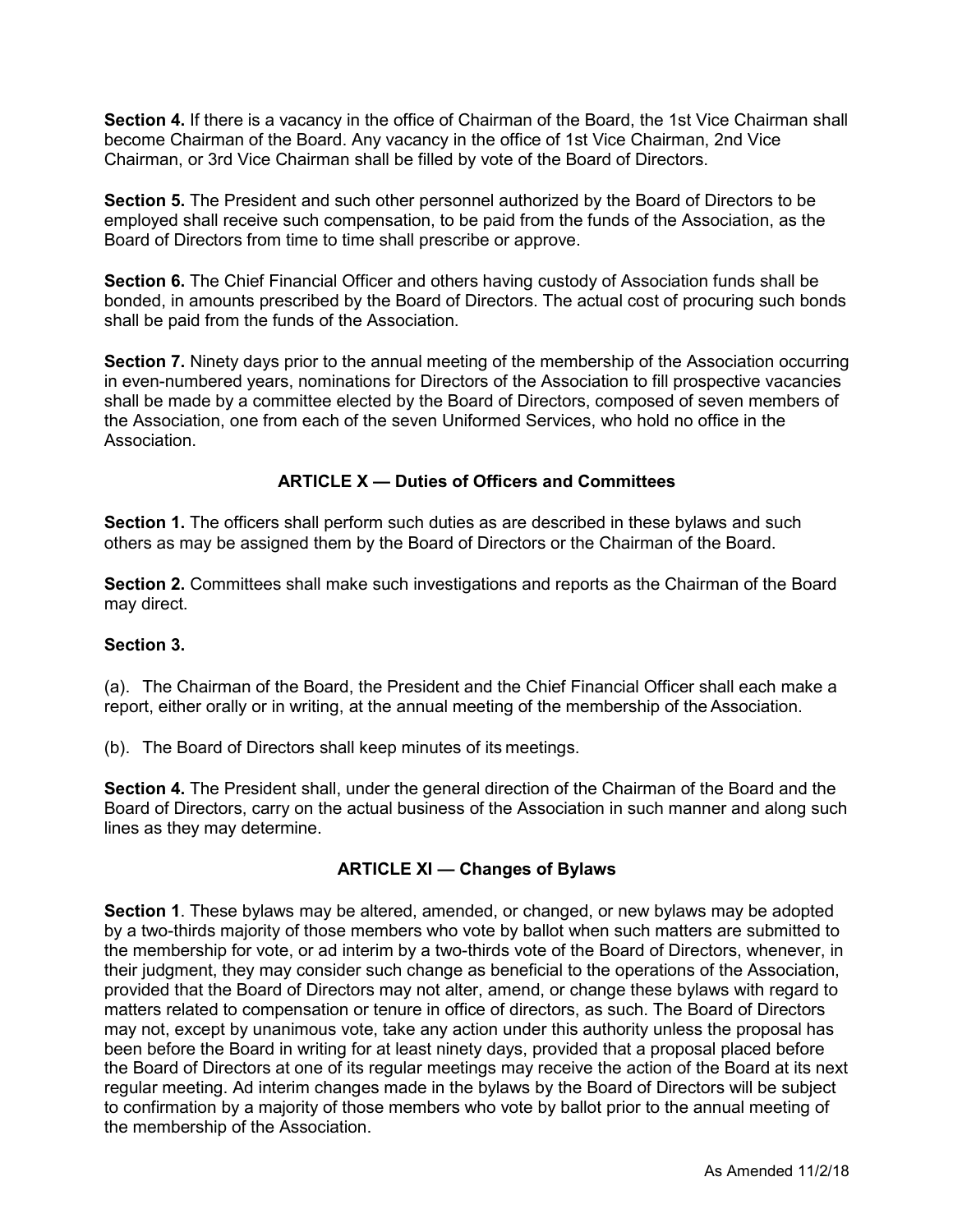**Section 4.** If there is a vacancy in the office of Chairman of the Board, the 1st Vice Chairman shall become Chairman of the Board. Any vacancy in the office of 1st Vice Chairman, 2nd Vice Chairman, or 3rd Vice Chairman shall be filled by vote of the Board of Directors.

**Section 5.** The President and such other personnel authorized by the Board of Directors to be employed shall receive such compensation, to be paid from the funds of the Association, as the Board of Directors from time to time shall prescribe or approve.

**Section 6.** The Chief Financial Officer and others having custody of Association funds shall be bonded, in amounts prescribed by the Board of Directors. The actual cost of procuring such bonds shall be paid from the funds of the Association.

**Section 7.** Ninety days prior to the annual meeting of the membership of the Association occurring in even-numbered years, nominations for Directors of the Association to fill prospective vacancies shall be made by a committee elected by the Board of Directors, composed of seven members of the Association, one from each of the seven Uniformed Services, who hold no office in the Association.

## **ARTICLE X — Duties of Officers and Committees**

**Section 1.** The officers shall perform such duties as are described in these bylaws and such others as may be assigned them by the Board of Directors or the Chairman of the Board.

**Section 2.** Committees shall make such investigations and reports as the Chairman of the Board may direct.

#### **Section 3.**

(a). The Chairman of the Board, the President and the Chief Financial Officer shall each make a report, either orally or in writing, at the annual meeting of the membership of the Association.

(b). The Board of Directors shall keep minutes of its meetings.

**Section 4.** The President shall, under the general direction of the Chairman of the Board and the Board of Directors, carry on the actual business of the Association in such manner and along such lines as they may determine.

#### **ARTICLE XI — Changes of Bylaws**

**Section 1**. These bylaws may be altered, amended, or changed, or new bylaws may be adopted by a two-thirds majority of those members who vote by ballot when such matters are submitted to the membership for vote, or ad interim by a two-thirds vote of the Board of Directors, whenever, in their judgment, they may consider such change as beneficial to the operations of the Association, provided that the Board of Directors may not alter, amend, or change these bylaws with regard to matters related to compensation or tenure in office of directors, as such. The Board of Directors may not, except by unanimous vote, take any action under this authority unless the proposal has been before the Board in writing for at least ninety days, provided that a proposal placed before the Board of Directors at one of its regular meetings may receive the action of the Board at its next regular meeting. Ad interim changes made in the bylaws by the Board of Directors will be subject to confirmation by a majority of those members who vote by ballot prior to the annual meeting of the membership of the Association.